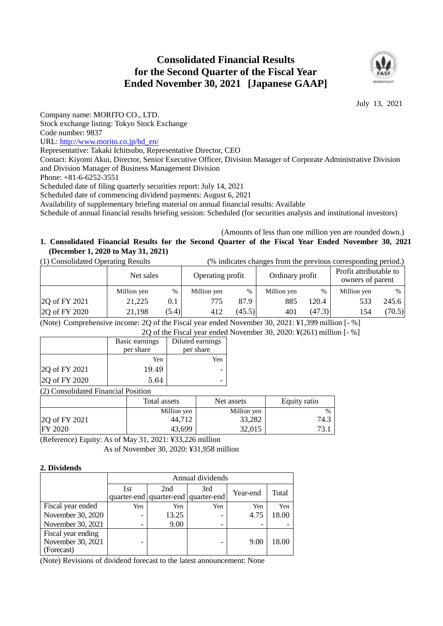# **Consolidated Financial Results for the Second Quarter of the Fiscal Year Ended November 30, 2021 [Japanese GAAP]**



July 13, 2021

Company name: MORITO CO., LTD.

Stock exchange listing: Tokyo Stock Exchange

Code number: 9837

URL: [http://www.morito.co.jp/hd\\_en/](http://www.morito.co.jp/hd_en/)

Representative: Takaki Ichitsubo, Representative Director, CEO

Contact: Kiyomi Akui, Director, Senior Executive Officer, Division Manager of Corporate Administrative Division and Division Manager of Business Management Division

Phone: +81-6-6252-3551

Scheduled date of filing quarterly securities report: July 14, 2021

Scheduled date of commencing dividend payments: August 6, 2021

Availability of supplementary briefing material on annual financial results: Available

Schedule of annual financial results briefing session: Scheduled (for securities analysts and institutional investors)

## (Amounts of less than one million yen are rounded down.)

# **1. Consolidated Financial Results for the Second Quarter of the Fiscal Year Ended November 30, 2021 (December 1, 2020 to May 31, 2021)**

| (1) Consolidated Operating Results |             |      |                  |               | (% indicates changes from the previous corresponding period.) |   |                                            |      |
|------------------------------------|-------------|------|------------------|---------------|---------------------------------------------------------------|---|--------------------------------------------|------|
|                                    | Net sales   |      | Operating profit |               | Ordinary profit                                               |   | Profit attributable to<br>owners of parent |      |
|                                    | Million yen | $\%$ | Million ven      | $\frac{0}{0}$ | Million ven                                                   | % | Million yen                                | $\%$ |

| 2Q of FY 2021<br>21,225<br>20.4<br>87.9<br>885<br>(47.3)<br>(45.5)<br>(5.4)<br>2Q of FY 2020<br>21,198<br>401<br>412<br>' 54 |  |  |  | . |        |
|------------------------------------------------------------------------------------------------------------------------------|--|--|--|---|--------|
|                                                                                                                              |  |  |  |   | (70.5) |
|                                                                                                                              |  |  |  |   | 245.6  |

(Note) Comprehensive income: 2Q of the Fiscal year ended November 30, 2021: ¥1,399 million [- %] 2Q of the Fiscal year ended November 30, 2020: ¥(261) million [- %]

| <b>ZO</b> of the Fiscal year ended  |                |                  |  |  |  |
|-------------------------------------|----------------|------------------|--|--|--|
|                                     | Basic earnings | Diluted earnings |  |  |  |
|                                     | per share      | per share        |  |  |  |
|                                     | Yen            | Yen              |  |  |  |
| 2Q of FY 2021                       | 19.49          |                  |  |  |  |
| 2Q of FY 2020<br>5.64               |                |                  |  |  |  |
| (2) Consolidated Financial Position |                |                  |  |  |  |

Total assets Net assets Requity ratio Million yen Million yen  $\frac{1}{2}$ 2Q of FY 2021 44,712 33,282 74.3  $\text{FY } 2020$   $\qquad \qquad$   $43,699$   $\qquad \qquad$   $32,015$   $\qquad \qquad$  73.1

(Reference) Equity: As of May 31, 2021: ¥33,226 million

As of November 30, 2020: ¥31,958 million

## **2. Dividends**

|                                         | Annual dividends         |                                     |     |      |       |  |  |
|-----------------------------------------|--------------------------|-------------------------------------|-----|------|-------|--|--|
|                                         | 1st                      | 3rd<br>2nd<br>Year-end              |     |      |       |  |  |
|                                         |                          | quarter-end quarter-end quarter-end |     |      | Total |  |  |
| Fiscal year ended                       | Yen                      | Yen                                 | Yen | Yen  | Yen   |  |  |
| November 30, 2020                       | -                        | 13.25                               |     | 4.75 | 18.00 |  |  |
| November 30, 2021                       | $\overline{\phantom{0}}$ | 9.00                                |     |      |       |  |  |
| Fiscal year ending<br>November 30, 2021 | -                        |                                     |     | 9.00 | 18.00 |  |  |
| (Forecast)                              |                          |                                     |     |      |       |  |  |

(Note) Revisions of dividend forecast to the latest announcement: None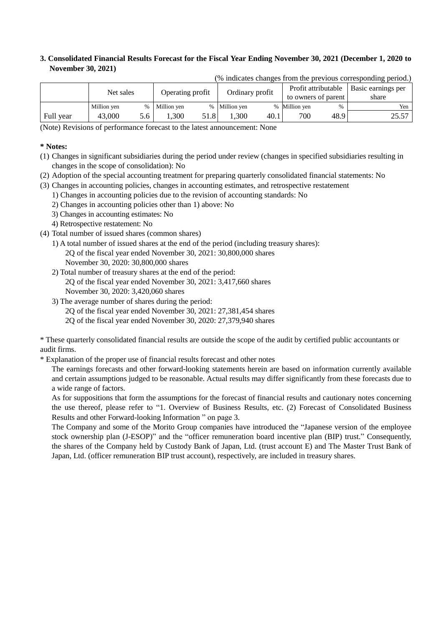## **3. Consolidated Financial Results Forecast for the Fiscal Year Ending November 30, 2021 (December 1, 2020 to November 30, 2021)**

|           | $\mu$ material entity of the $\mu$ and $\mu$ and $\mu$ and $\mu$ and $\mu$ and $\mu$ |                  |             |                 |               |                     |                     |                    |       |
|-----------|--------------------------------------------------------------------------------------|------------------|-------------|-----------------|---------------|---------------------|---------------------|--------------------|-------|
| Net sales |                                                                                      | Operating profit |             | Ordinary profit |               | Profit attributable |                     | Basic earnings per |       |
|           |                                                                                      |                  |             |                 |               |                     | to owners of parent |                    | share |
|           | Million yen                                                                          | $\%$             | Million yen |                 | % Million yen |                     | % Million yen       | $\%$               | Yen   |
| Full year | 43,000                                                                               | 5.6              | .300        | 51.8            | .300          | 40.1                | 700                 | 48.9               | 25.57 |

(% indicates changes from the previous corresponding period.)

(Note) Revisions of performance forecast to the latest announcement: None

### **\* Notes:**

- (1) Changes in significant subsidiaries during the period under review (changes in specified subsidiaries resulting in changes in the scope of consolidation): No
- (2) Adoption of the special accounting treatment for preparing quarterly consolidated financial statements: No
- (3) Changes in accounting policies, changes in accounting estimates, and retrospective restatement
	- 1) Changes in accounting policies due to the revision of accounting standards: No
		- 2) Changes in accounting policies other than 1) above: No
		- 3) Changes in accounting estimates: No
		- 4) Retrospective restatement: No
- (4) Total number of issued shares (common shares)
	- 1) A total number of issued shares at the end of the period (including treasury shares): 2Q of the fiscal year ended November 30, 2021: 30,800,000 shares
		- November 30, 2020: 30,800,000 shares
	- 2) Total number of treasury shares at the end of the period:
	- 2Q of the fiscal year ended November 30, 2021: 3,417,660 shares November 30, 2020: 3,420,060 shares
	- 3) The average number of shares during the period:
		- 2Q of the fiscal year ended November 30, 2021: 27,381,454 shares
		- 2Q of the fiscal year ended November 30, 2020: 27,379,940 shares

\* These quarterly consolidated financial results are outside the scope of the audit by certified public accountants or audit firms.

\* Explanation of the proper use of financial results forecast and other notes

The earnings forecasts and other forward-looking statements herein are based on information currently available and certain assumptions judged to be reasonable. Actual results may differ significantly from these forecasts due to a wide range of factors.

As for suppositions that form the assumptions for the forecast of financial results and cautionary notes concerning the use thereof, please refer to "1. Overview of Business Results, etc. (2) Forecast of Consolidated Business Results and other Forward-looking Information " on page 3.

The Company and some of the Morito Group companies have introduced the "Japanese version of the employee stock ownership plan (J-ESOP)" and the "officer remuneration board incentive plan (BIP) trust." Consequently, the shares of the Company held by Custody Bank of Japan, Ltd. (trust account E) and The Master Trust Bank of Japan, Ltd. (officer remuneration BIP trust account), respectively, are included in treasury shares.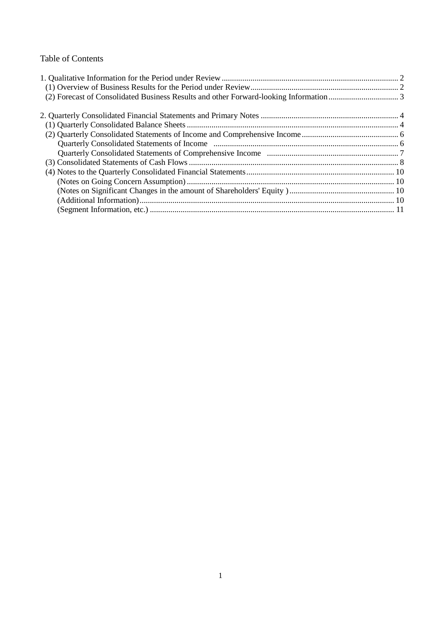# Table of Contents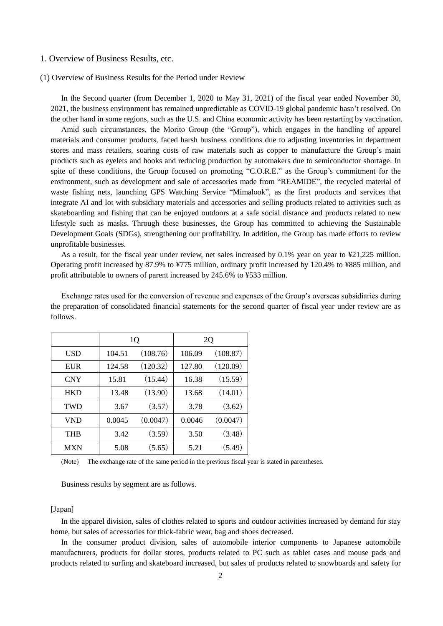#### 1. Overview of Business Results, etc.

### (1) Overview of Business Results for the Period under Review

In the Second quarter (from December 1, 2020 to May 31, 2021) of the fiscal year ended November 30, 2021, the business environment has remained unpredictable as COVID-19 global pandemic hasn't resolved. On the other hand in some regions, such as the U.S. and China economic activity has been restarting by vaccination.

Amid such circumstances, the Morito Group (the "Group"), which engages in the handling of apparel materials and consumer products, faced harsh business conditions due to adjusting inventories in department stores and mass retailers, soaring costs of raw materials such as copper to manufacture the Group's main products such as eyelets and hooks and reducing production by automakers due to semiconductor shortage. In spite of these conditions, the Group focused on promoting "C.O.R.E." as the Group's commitment for the environment, such as development and sale of accessories made from "REAMIDE", the recycled material of waste fishing nets, launching GPS Watching Service "Mimalook", as the first products and services that integrate AI and Iot with subsidiary materials and accessories and selling products related to activities such as skateboarding and fishing that can be enjoyed outdoors at a safe social distance and products related to new lifestyle such as masks. Through these businesses, the Group has committed to achieving the Sustainable Development Goals (SDGs), strengthening our profitability. In addition, the Group has made efforts to review unprofitable businesses.

As a result, for the fiscal year under review, net sales increased by 0.1% year on year to ¥21,225 million. Operating profit increased by 87.9% to ¥775 million, ordinary profit increased by 120.4% to ¥885 million, and profit attributable to owners of parent increased by 245.6% to ¥533 million.

|            | 1 <sub>Q</sub> |          |        | 2Q       |
|------------|----------------|----------|--------|----------|
| USD        | 104.51         | (108.76) | 106.09 | (108.87) |
| <b>EUR</b> | 124.58         | (120.32) | 127.80 | (120.09) |
| <b>CNY</b> | 15.81          | (15.44)  | 16.38  | (15.59)  |
| <b>HKD</b> | 13.48          | (13.90)  | 13.68  | (14.01)  |
| <b>TWD</b> | 3.67           | (3.57)   | 3.78   | (3.62)   |
| <b>VND</b> | 0.0045         | (0.0047) | 0.0046 | (0.0047) |
| <b>THB</b> | 3.42           | (3.59)   | 3.50   | (3.48)   |
| <b>MXN</b> | 5.08           | (5.65)   | 5.21   | (5.49)   |

Exchange rates used for the conversion of revenue and expenses of the Group's overseas subsidiaries during the preparation of consolidated financial statements for the second quarter of fiscal year under review are as follows.

(Note) The exchange rate of the same period in the previous fiscal year is stated in parentheses.

Business results by segment are as follows.

### [Japan]

In the apparel division, sales of clothes related to sports and outdoor activities increased by demand for stay home, but sales of accessories for thick-fabric wear, bag and shoes decreased.

In the consumer product division, sales of automobile interior components to Japanese automobile manufacturers, products for dollar stores, products related to PC such as tablet cases and mouse pads and products related to surfing and skateboard increased, but sales of products related to snowboards and safety for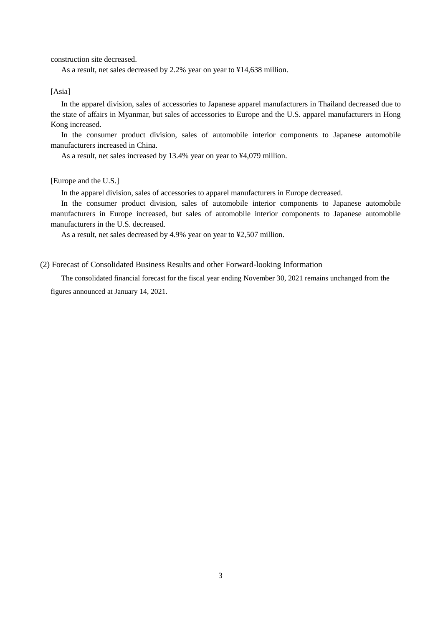construction site decreased.

As a result, net sales decreased by 2.2% year on year to ¥14,638 million.

#### [Asia]

In the apparel division, sales of accessories to Japanese apparel manufacturers in Thailand decreased due to the state of affairs in Myanmar, but sales of accessories to Europe and the U.S. apparel manufacturers in Hong Kong increased.

In the consumer product division, sales of automobile interior components to Japanese automobile manufacturers increased in China.

As a result, net sales increased by 13.4% year on year to ¥4,079 million.

#### [Europe and the U.S.]

In the apparel division, sales of accessories to apparel manufacturers in Europe decreased.

In the consumer product division, sales of automobile interior components to Japanese automobile manufacturers in Europe increased, but sales of automobile interior components to Japanese automobile manufacturers in the U.S. decreased.

As a result, net sales decreased by 4.9% year on year to ¥2,507 million.

#### (2) Forecast of Consolidated Business Results and other Forward-looking Information

The consolidated financial forecast for the fiscal year ending November 30, 2021 remains unchanged from the figures announced at January 14, 2021.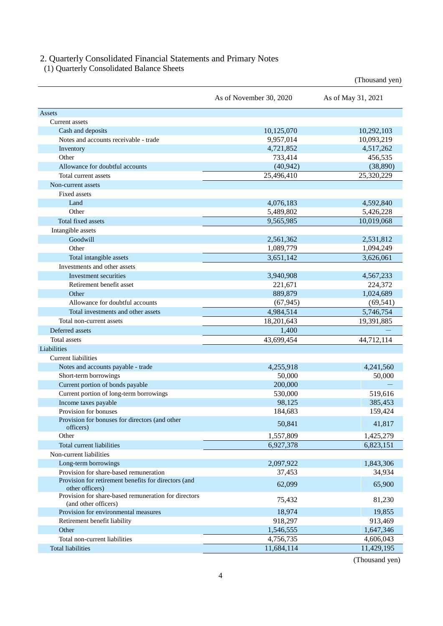## 2. Quarterly Consolidated Financial Statements and Primary Notes

(1) Quarterly Consolidated Balance Sheets

|                                                                              |                         | (Thousand yen)     |
|------------------------------------------------------------------------------|-------------------------|--------------------|
|                                                                              | As of November 30, 2020 | As of May 31, 2021 |
| Assets                                                                       |                         |                    |
| Current assets                                                               |                         |                    |
| Cash and deposits                                                            | 10,125,070              | 10,292,103         |
| Notes and accounts receivable - trade                                        | 9,957,014               | 10,093,219         |
| Inventory                                                                    | 4,721,852               | 4,517,262          |
| Other                                                                        | 733,414                 | 456,535            |
| Allowance for doubtful accounts                                              | (40, 942)               | (38, 890)          |
| Total current assets                                                         | 25,496,410              | 25,320,229         |
| Non-current assets                                                           |                         |                    |
| <b>Fixed assets</b>                                                          |                         |                    |
| Land                                                                         | 4,076,183               | 4,592,840          |
| Other                                                                        | 5,489,802               | 5,426,228          |
| Total fixed assets                                                           | 9,565,985               | 10,019,068         |
| Intangible assets                                                            |                         |                    |
| Goodwill                                                                     | 2,561,362               | 2,531,812          |
| Other                                                                        | 1,089,779               | 1,094,249          |
| Total intangible assets                                                      | 3,651,142               | 3,626,061          |
| Investments and other assets                                                 |                         |                    |
| Investment securities                                                        | 3,940,908               | 4,567,233          |
| Retirement benefit asset                                                     | 221,671                 | 224,372            |
| Other                                                                        | 889,879                 | 1,024,689          |
| Allowance for doubtful accounts                                              | (67, 945)               | (69, 541)          |
| Total investments and other assets                                           | 4,984,514               | 5,746,754          |
| Total non-current assets                                                     |                         |                    |
|                                                                              | 18,201,643              | 19,391,885         |
| Deferred assets                                                              | 1,400                   |                    |
| <b>Total</b> assets                                                          | 43,699,454              | 44,712,114         |
| Liabilities                                                                  |                         |                    |
| <b>Current liabilities</b>                                                   |                         |                    |
| Notes and accounts payable - trade                                           | 4,255,918               | 4,241,560          |
| Short-term borrowings                                                        | 50,000                  | 50,000             |
| Current portion of bonds payable                                             | 200,000                 |                    |
| Current portion of long-term borrowings                                      | 530,000                 | 519,616            |
| Income taxes payable                                                         | 98,125                  | 385,453            |
| Provision for bonuses                                                        | 184,683                 | 159,424            |
| Provision for bonuses for directors (and other<br>officers)                  | 50,841                  | 41,817             |
| Other                                                                        | 1,557,809               | 1,425,279          |
| Total current liabilities                                                    | 6,927,378               | 6,823,151          |
| Non-current liabilities                                                      |                         |                    |
| Long-term borrowings                                                         | 2,097,922               | 1,843,306          |
| Provision for share-based remuneration                                       | 37,453                  | 34,934             |
| Provision for retirement benefits for directors (and<br>other officers)      | 62,099                  | 65,900             |
| Provision for share-based remuneration for directors<br>(and other officers) | 75,432                  | 81,230             |
| Provision for environmental measures                                         | 18,974                  | 19,855             |
| Retirement benefit liability                                                 | 918,297                 | 913,469            |
| Other                                                                        | 1,546,555               | 1,647,346          |
| Total non-current liabilities                                                | 4,756,735               | 4,606,043          |
| <b>Total liabilities</b>                                                     | 11,684,114              | 11,429,195         |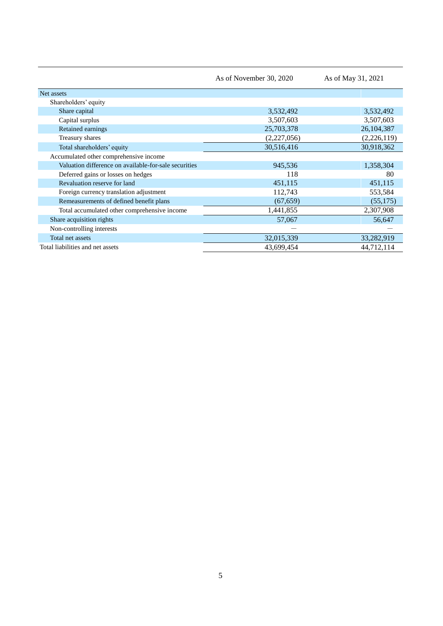|                                                       | As of November 30, 2020 | As of May 31, 2021 |
|-------------------------------------------------------|-------------------------|--------------------|
| Net assets                                            |                         |                    |
| Shareholders' equity                                  |                         |                    |
| Share capital                                         | 3,532,492               | 3,532,492          |
| Capital surplus                                       | 3,507,603               | 3,507,603          |
| Retained earnings                                     | 25,703,378              | 26,104,387         |
| Treasury shares                                       | (2,227,056)             | (2,226,119)        |
| Total shareholders' equity                            | 30,516,416              | 30,918,362         |
| Accumulated other comprehensive income                |                         |                    |
| Valuation difference on available-for-sale securities | 945,536                 | 1,358,304          |
| Deferred gains or losses on hedges                    | 118                     | 80                 |
| Revaluation reserve for land                          | 451,115                 | 451,115            |
| Foreign currency translation adjustment               | 112,743                 | 553,584            |
| Remeasurements of defined benefit plans               | (67, 659)               | (55, 175)          |
| Total accumulated other comprehensive income          | 1,441,855               | 2,307,908          |
| Share acquisition rights                              | 57,067                  | 56,647             |
| Non-controlling interests                             |                         |                    |
| Total net assets                                      | 32,015,339              | 33,282,919         |
| Total liabilities and net assets                      | 43,699,454              | 44,712,114         |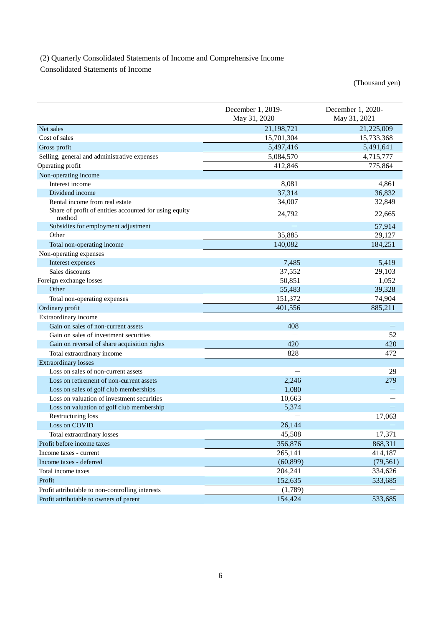# (2) Quarterly Consolidated Statements of Income and Comprehensive Income

Consolidated Statements of Income

|                                                                                          | December 1, 2019- | December 1, 2020- |
|------------------------------------------------------------------------------------------|-------------------|-------------------|
|                                                                                          | May 31, 2020      | May 31, 2021      |
| Net sales                                                                                | 21,198,721        | 21,225,009        |
| Cost of sales                                                                            | 15,701,304        | 15,733,368        |
| Gross profit                                                                             | 5,497,416         | 5,491,641         |
| Selling, general and administrative expenses                                             | 5,084,570         | 4,715,777         |
| Operating profit                                                                         | 412,846           | 775,864           |
| Non-operating income                                                                     |                   |                   |
| Interest income                                                                          | 8,081             | 4,861             |
| Dividend income                                                                          | 37,314            | 36,832            |
| Rental income from real estate<br>Share of profit of entities accounted for using equity | 34,007            | 32,849            |
| method                                                                                   | 24,792            | 22,665            |
| Subsidies for employment adjustment                                                      |                   | 57,914            |
| Other                                                                                    | 35,885            | 29,127            |
| Total non-operating income                                                               | 140,082           | 184,251           |
| Non-operating expenses                                                                   |                   |                   |
| Interest expenses                                                                        | 7,485             | 5,419             |
| Sales discounts                                                                          | 37,552            | 29,103            |
| Foreign exchange losses                                                                  | 50,851            | 1,052             |
| Other                                                                                    | 55,483            | 39,328            |
| Total non-operating expenses                                                             | 151,372           | 74,904            |
| Ordinary profit                                                                          | 401,556           | 885,211           |
| Extraordinary income                                                                     |                   |                   |
| Gain on sales of non-current assets                                                      | 408               |                   |
| Gain on sales of investment securities                                                   |                   | 52                |
| Gain on reversal of share acquisition rights                                             | 420               | 420               |
| Total extraordinary income                                                               | 828               | 472               |
| <b>Extraordinary losses</b>                                                              |                   |                   |
| Loss on sales of non-current assets                                                      |                   | 29                |
| Loss on retirement of non-current assets                                                 | 2,246             | 279               |
| Loss on sales of golf club memberships                                                   | 1,080             |                   |
| Loss on valuation of investment securities                                               | 10,663            |                   |
| Loss on valuation of golf club membership                                                | 5,374             |                   |
| Restructuring loss                                                                       |                   | 17,063            |
| Loss on COVID                                                                            | 26,144            |                   |
| Total extraordinary losses                                                               | 45,508            | 17,371            |
| Profit before income taxes                                                               | 356,876           | 868,311           |
| Income taxes - current                                                                   | 265,141           | 414,187           |
| Income taxes - deferred                                                                  | (60, 899)         | (79, 561)         |
| Total income taxes                                                                       | 204,241           | 334,626           |
| Profit                                                                                   | 152,635           | 533,685           |
| Profit attributable to non-controlling interests                                         | (1,789)           |                   |
| Profit attributable to owners of parent                                                  | 154,424           | 533,685           |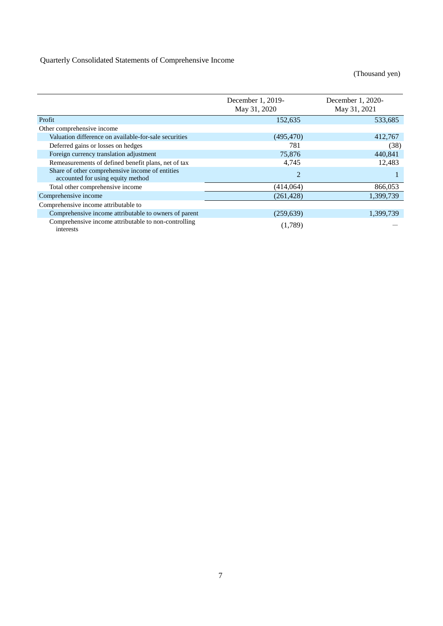|                                                                                      | December 1, 2019-<br>May 31, 2020 | December 1, 2020-<br>May 31, 2021 |
|--------------------------------------------------------------------------------------|-----------------------------------|-----------------------------------|
| Profit                                                                               | 152,635                           | 533,685                           |
| Other comprehensive income                                                           |                                   |                                   |
| Valuation difference on available-for-sale securities                                | (495, 470)                        | 412,767                           |
| Deferred gains or losses on hedges                                                   | 781                               | (38)                              |
| Foreign currency translation adjustment                                              | 75,876                            | 440.841                           |
| Remeasurements of defined benefit plans, net of tax                                  | 4,745                             | 12,483                            |
| Share of other comprehensive income of entities<br>accounted for using equity method | $\overline{2}$                    |                                   |
| Total other comprehensive income                                                     | (414,064)                         | 866,053                           |
| Comprehensive income                                                                 | (261, 428)                        | 1,399,739                         |
| Comprehensive income attributable to                                                 |                                   |                                   |
| Comprehensive income attributable to owners of parent                                | (259, 639)                        | 1,399,739                         |
| Comprehensive income attributable to non-controlling<br>interests                    | (1,789)                           |                                   |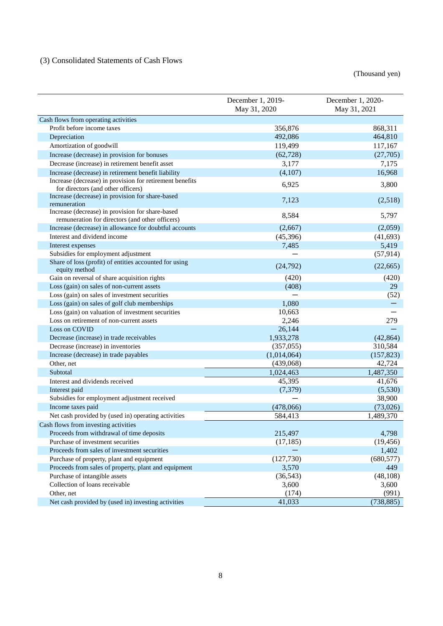# (3) Consolidated Statements of Cash Flows

|                                                                                                     | December 1, 2019-<br>May 31, 2020 | December 1, 2020-<br>May 31, 2021 |
|-----------------------------------------------------------------------------------------------------|-----------------------------------|-----------------------------------|
| Cash flows from operating activities                                                                |                                   |                                   |
| Profit before income taxes                                                                          | 356,876                           | 868,311                           |
| Depreciation                                                                                        | 492,086                           | 464,810                           |
| Amortization of goodwill                                                                            | 119,499                           | 117,167                           |
| Increase (decrease) in provision for bonuses                                                        | (62, 728)                         | (27,705)                          |
| Decrease (increase) in retirement benefit asset                                                     | 3,177                             | 7,175                             |
| Increase (decrease) in retirement benefit liability                                                 | (4,107)                           | 16,968                            |
| Increase (decrease) in provision for retirement benefits<br>for directors (and other officers)      | 6,925                             | 3,800                             |
| Increase (decrease) in provision for share-based<br>remuneration                                    | 7,123                             | (2,518)                           |
| Increase (decrease) in provision for share-based<br>remuneration for directors (and other officers) | 8,584                             | 5,797                             |
| Increase (decrease) in allowance for doubtful accounts                                              | (2,667)                           | (2,059)                           |
| Interest and dividend income                                                                        | (45, 396)                         | (41, 693)                         |
| Interest expenses                                                                                   | 7,485                             | 5,419                             |
| Subsidies for employment adjustment                                                                 |                                   | (57, 914)                         |
| Share of loss (profit) of entities accounted for using<br>equity method                             | (24, 792)                         | (22, 665)                         |
| Gain on reversal of share acquisition rights                                                        | (420)                             | (420)                             |
| Loss (gain) on sales of non-current assets                                                          | (408)                             | 29                                |
| Loss (gain) on sales of investment securities                                                       |                                   | (52)                              |
| Loss (gain) on sales of golf club memberships                                                       | 1,080                             |                                   |
| Loss (gain) on valuation of investment securities                                                   | 10,663                            |                                   |
| Loss on retirement of non-current assets                                                            | 2,246                             | 279                               |
| Loss on COVID                                                                                       | 26,144                            |                                   |
| Decrease (increase) in trade receivables                                                            | 1,933,278                         | (42, 864)                         |
| Decrease (increase) in inventories                                                                  | (357, 055)                        | 310,584                           |
| Increase (decrease) in trade payables                                                               | (1,014,064)                       | (157, 823)                        |
| Other, net                                                                                          | (439,068)                         | 42,724                            |
| Subtotal                                                                                            | 1,024,463                         | 1,487,350                         |
| Interest and dividends received                                                                     | 45,395                            | 41,676                            |
| Interest paid                                                                                       | (7, 379)                          | (5,530)                           |
| Subsidies for employment adjustment received                                                        |                                   | 38,900                            |
| Income taxes paid                                                                                   | (478,066)                         | (73,026)                          |
| Net cash provided by (used in) operating activities                                                 | 584,413                           | 1,489,370                         |
| Cash flows from investing activities                                                                |                                   |                                   |
| Proceeds from withdrawal of time deposits                                                           | 215,497                           | 4,798                             |
| Purchase of investment securities                                                                   | (17, 185)                         | (19, 456)                         |
| Proceeds from sales of investment securities                                                        |                                   | 1,402                             |
| Purchase of property, plant and equipment                                                           | (127,730)                         | (680, 577)                        |
| Proceeds from sales of property, plant and equipment                                                | 3,570                             | 449                               |
| Purchase of intangible assets                                                                       | (36, 543)                         | (48, 108)                         |
| Collection of loans receivable                                                                      | 3,600                             | 3,600                             |
| Other, net                                                                                          | (174)                             | (991)                             |
| Net cash provided by (used in) investing activities                                                 | 41,033                            | (738, 885)                        |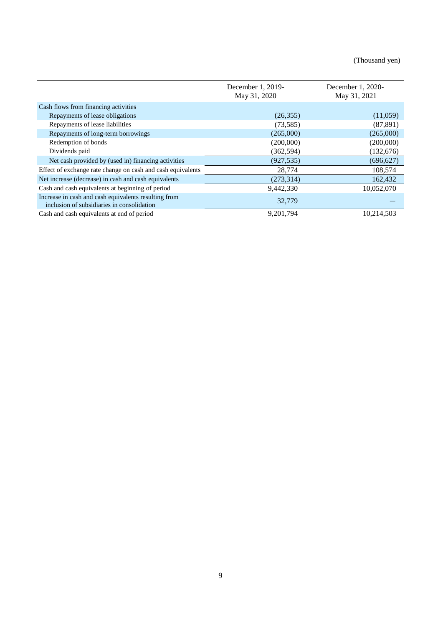|                                                                                                    | December 1, 2019-<br>May 31, 2020 | December 1, 2020-<br>May 31, 2021 |
|----------------------------------------------------------------------------------------------------|-----------------------------------|-----------------------------------|
| Cash flows from financing activities                                                               |                                   |                                   |
| Repayments of lease obligations                                                                    | (26, 355)                         | (11,059)                          |
| Repayments of lease liabilities                                                                    | (73, 585)                         | (87, 891)                         |
| Repayments of long-term borrowings                                                                 | (265,000)                         | (265,000)                         |
| Redemption of bonds                                                                                | (200,000)                         | (200,000)                         |
| Dividends paid                                                                                     | (362, 594)                        | (132,676)                         |
| Net cash provided by (used in) financing activities                                                | (927, 535)                        | (696, 627)                        |
| Effect of exchange rate change on cash and cash equivalents                                        | 28,774                            | 108,574                           |
| Net increase (decrease) in cash and cash equivalents                                               | (273, 314)                        | 162,432                           |
| Cash and cash equivalents at beginning of period                                                   | 9,442,330                         | 10,052,070                        |
| Increase in cash and cash equivalents resulting from<br>inclusion of subsidiaries in consolidation | 32,779                            |                                   |
| Cash and cash equivalents at end of period                                                         | 9,201,794                         | 10,214,503                        |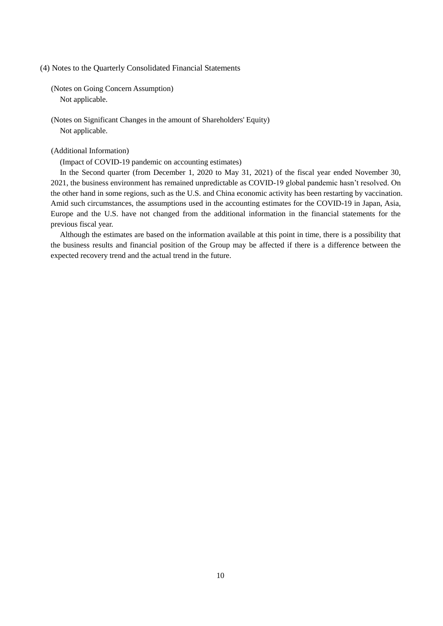(4) Notes to the Quarterly Consolidated Financial Statements

(Notes on Going Concern Assumption) Not applicable.

(Notes on Significant Changes in the amount of Shareholders' Equity) Not applicable.

### (Additional Information)

(Impact of COVID-19 pandemic on accounting estimates)

In the Second quarter (from December 1, 2020 to May 31, 2021) of the fiscal year ended November 30, 2021, the business environment has remained unpredictable as COVID-19 global pandemic hasn't resolved. On the other hand in some regions, such as the U.S. and China economic activity has been restarting by vaccination. Amid such circumstances, the assumptions used in the accounting estimates for the COVID-19 in Japan, Asia, Europe and the U.S. have not changed from the additional information in the financial statements for the previous fiscal year.

Although the estimates are based on the information available at this point in time, there is a possibility that the business results and financial position of the Group may be affected if there is a difference between the expected recovery trend and the actual trend in the future.